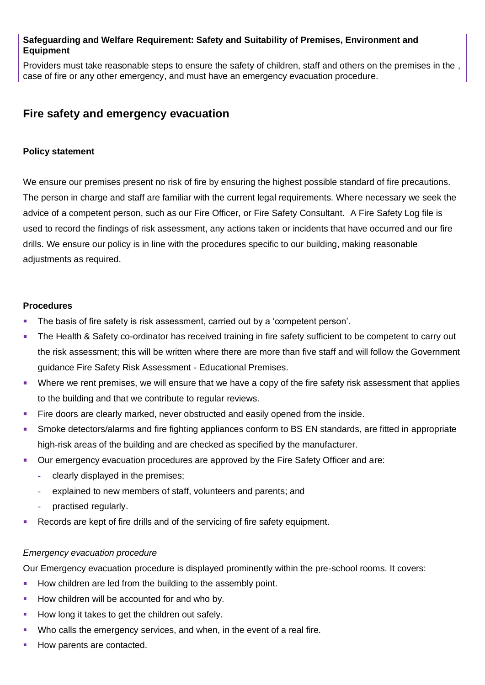### **Safeguarding and Welfare Requirement: Safety and Suitability of Premises, Environment and Equipment**

Providers must take reasonable steps to ensure the safety of children, staff and others on the premises in the , case of fire or any other emergency, and must have an emergency evacuation procedure.

# **Fire safety and emergency evacuation**

## **Policy statement**

We ensure our premises present no risk of fire by ensuring the highest possible standard of fire precautions. The person in charge and staff are familiar with the current legal requirements. Where necessary we seek the advice of a competent person, such as our Fire Officer, or Fire Safety Consultant. A Fire Safety Log file is used to record the findings of risk assessment, any actions taken or incidents that have occurred and our fire drills. We ensure our policy is in line with the procedures specific to our building, making reasonable adjustments as required.

#### **Procedures**

- The basis of fire safety is risk assessment, carried out by a 'competent person'.
- **The Health & Safety co-ordinator has received training in fire safety sufficient to be competent to carry out** the risk assessment; this will be written where there are more than five staff and will follow the Government guidance Fire Safety Risk Assessment - Educational Premises.
- Where we rent premises, we will ensure that we have a copy of the fire safety risk assessment that applies to the building and that we contribute to regular reviews.
- **Example 1** Fire doors are clearly marked, never obstructed and easily opened from the inside.
- Smoke detectors/alarms and fire fighting appliances conform to BS EN standards, are fitted in appropriate high-risk areas of the building and are checked as specified by the manufacturer.
- **Our emergency evacuation procedures are approved by the Fire Safety Officer and are:** 
	- **-** clearly displayed in the premises;
	- **-** explained to new members of staff, volunteers and parents; and
	- **-** practised regularly.
- Records are kept of fire drills and of the servicing of fire safety equipment.

#### *Emergency evacuation procedure*

Our Emergency evacuation procedure is displayed prominently within the pre-school rooms. It covers:

- How children are led from the building to the assembly point.
- How children will be accounted for and who by.
- How long it takes to get the children out safely.
- Who calls the emergency services, and when, in the event of a real fire.
- How parents are contacted.